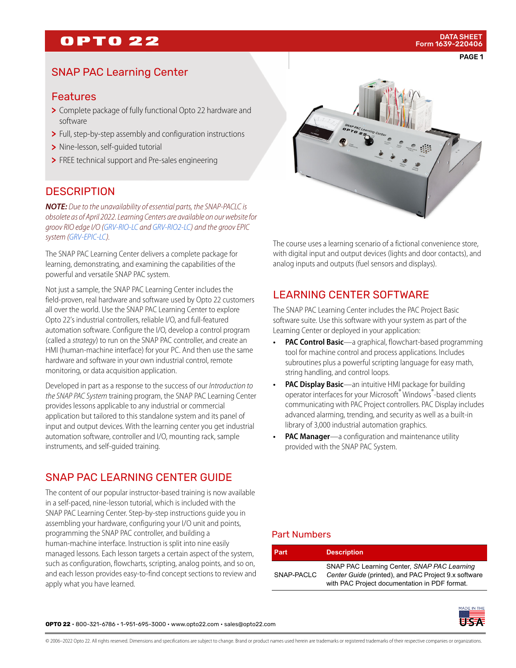# **OPTO 22**

PAGE 1

### SNAP PAC Learning Center

### Features

- > Complete package of fully functional Opto 22 hardware and software
- > Full, step-by-step assembly and configuration instructions
- > Nine-lesson, self-guided tutorial
- > FREE technical support and Pre-sales engineering

### **DESCRIPTION**

**NOTE:** Due to the unavailability of essential parts, the SNAP-PACLC is obsolete as of April 2022. Learning Centers are available on our website for groov RIO edge I/O [\(GRV-RIO-LC](https://www.opto22.com/products/product-container/grv-rio-lc) and [GRV-RIO2-LC](https://www.opto22.com/products/product-container/grv-rio2-lc)) and the groov EPIC system [\(GRV-EPIC-LC](https://www.opto22.com/products/product-container/groov-epic-lc)).

The SNAP PAC Learning Center delivers a complete package for learning, demonstrating, and examining the capabilities of the powerful and versatile SNAP PAC system.

Not just a sample, the SNAP PAC Learning Center includes the field-proven, real hardware and software used by Opto 22 customers all over the world. Use the SNAP PAC Learning Center to explore Opto 22's industrial controllers, reliable I/O, and full-featured automation software. Configure the I/O, develop a control program (called a strategy) to run on the SNAP PAC controller, and create an HMI (human-machine interface) for your PC. And then use the same hardware and software in your own industrial control, remote monitoring, or data acquisition application.

Developed in part as a response to the success of our Introduction to the SNAP PAC System training program, the SNAP PAC Learning Center provides lessons applicable to any industrial or commercial application but tailored to this standalone system and its panel of input and output devices. With the learning center you get industrial automation software, controller and I/O, mounting rack, sample instruments, and self-guided training.

# SNAP PAC LEARNING CENTER GUIDE

The content of our popular instructor-based training is now available in a self-paced, nine-lesson tutorial, which is included with the SNAP PAC Learning Center. Step-by-step instructions guide you in assembling your hardware, configuring your I/O unit and points, programming the SNAP PAC controller, and building a human-machine interface. Instruction is split into nine easily managed lessons. Each lesson targets a certain aspect of the system, such as configuration, flowcharts, scripting, analog points, and so on, and each lesson provides easy-to-find concept sections to review and apply what you have learned.



The course uses a learning scenario of a fictional convenience store, with digital input and output devices (lights and door contacts), and analog inputs and outputs (fuel sensors and displays).

# LEARNING CENTER SOFTWARE

The SNAP PAC Learning Center includes the PAC Project Basic software suite. Use this software with your system as part of the Learning Center or deployed in your application:

- **PAC Control Basic**—a graphical, flowchart-based programming tool for machine control and process applications. Includes subroutines plus a powerful scripting language for easy math, string handling, and control loops.
- **PAC Display Basic**—an intuitive HMI package for building operator interfaces for your Microsoft® Windows®-based clients communicating with PAC Project controllers. PAC Display includes advanced alarming, trending, and security as well as a built-in library of 3,000 industrial automation graphics.
- **PAC Manager**—a configuration and maintenance utility provided with the SNAP PAC System.

### Part Numbers

| Part       | <b>Description</b>                                                                                                                                   |
|------------|------------------------------------------------------------------------------------------------------------------------------------------------------|
| SNAP-PACLC | SNAP PAC Learning Center, SNAP PAC Learning<br>Center Guide (printed), and PAC Project 9.x software<br>with PAC Project documentation in PDF format. |



**OPTO 22** • 800-321-6786 • 1-951-695-3000 • www.opto22.com • sales@opto22.com

© 2006–2022 Opto 22. All rights reserved. Dimensions and specifications are subject to change. Brand or product names used herein are trademarks or registered trademarks of their respective companies or organizations.